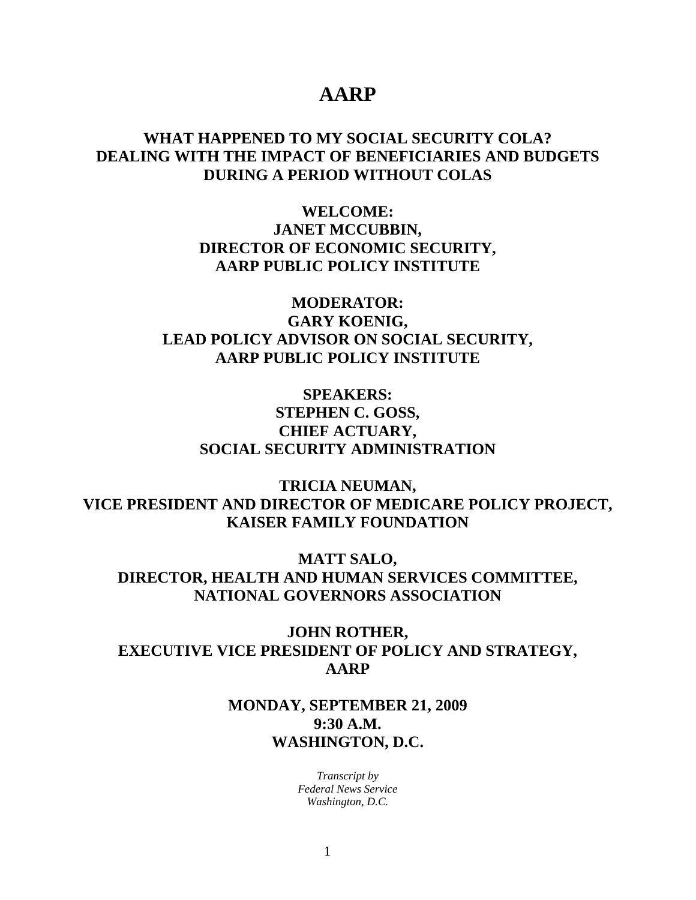## **AARP**

## **WHAT HAPPENED TO MY SOCIAL SECURITY COLA? DEALING WITH THE IMPACT OF BENEFICIARIES AND BUDGETS DURING A PERIOD WITHOUT COLAS**

**WELCOME: JANET MCCUBBIN, DIRECTOR OF ECONOMIC SECURITY, AARP PUBLIC POLICY INSTITUTE** 

**MODERATOR: GARY KOENIG, LEAD POLICY ADVISOR ON SOCIAL SECURITY, AARP PUBLIC POLICY INSTITUTE** 

**SPEAKERS: STEPHEN C. GOSS, CHIEF ACTUARY, SOCIAL SECURITY ADMINISTRATION** 

**TRICIA NEUMAN, VICE PRESIDENT AND DIRECTOR OF MEDICARE POLICY PROJECT, KAISER FAMILY FOUNDATION** 

**MATT SALO, DIRECTOR, HEALTH AND HUMAN SERVICES COMMITTEE, NATIONAL GOVERNORS ASSOCIATION** 

**JOHN ROTHER, EXECUTIVE VICE PRESIDENT OF POLICY AND STRATEGY, AARP** 

## **MONDAY, SEPTEMBER 21, 2009 9:30 A.M. WASHINGTON, D.C.**

*Transcript by Federal News Service Washington, D.C.*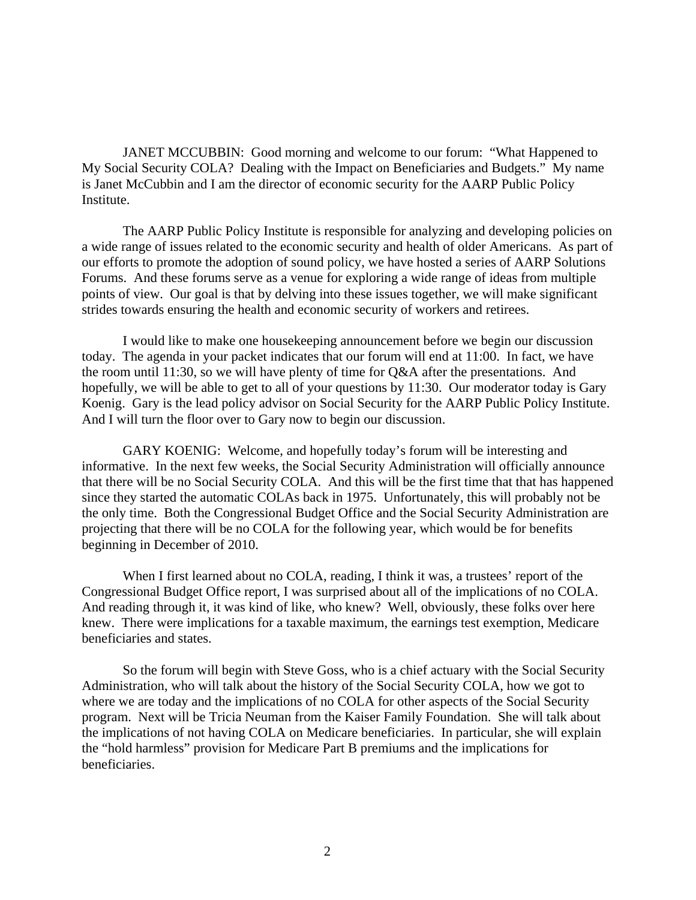JANET MCCUBBIN: Good morning and welcome to our forum: "What Happened to My Social Security COLA? Dealing with the Impact on Beneficiaries and Budgets." My name is Janet McCubbin and I am the director of economic security for the AARP Public Policy Institute.

The AARP Public Policy Institute is responsible for analyzing and developing policies on a wide range of issues related to the economic security and health of older Americans. As part of our efforts to promote the adoption of sound policy, we have hosted a series of AARP Solutions Forums. And these forums serve as a venue for exploring a wide range of ideas from multiple points of view. Our goal is that by delving into these issues together, we will make significant strides towards ensuring the health and economic security of workers and retirees.

I would like to make one housekeeping announcement before we begin our discussion today. The agenda in your packet indicates that our forum will end at 11:00. In fact, we have the room until 11:30, so we will have plenty of time for Q&A after the presentations. And hopefully, we will be able to get to all of your questions by 11:30. Our moderator today is Gary Koenig. Gary is the lead policy advisor on Social Security for the AARP Public Policy Institute. And I will turn the floor over to Gary now to begin our discussion.

GARY KOENIG: Welcome, and hopefully today's forum will be interesting and informative. In the next few weeks, the Social Security Administration will officially announce that there will be no Social Security COLA. And this will be the first time that that has happened since they started the automatic COLAs back in 1975. Unfortunately, this will probably not be the only time. Both the Congressional Budget Office and the Social Security Administration are projecting that there will be no COLA for the following year, which would be for benefits beginning in December of 2010.

When I first learned about no COLA, reading, I think it was, a trustees' report of the Congressional Budget Office report, I was surprised about all of the implications of no COLA. And reading through it, it was kind of like, who knew? Well, obviously, these folks over here knew. There were implications for a taxable maximum, the earnings test exemption, Medicare beneficiaries and states.

So the forum will begin with Steve Goss, who is a chief actuary with the Social Security Administration, who will talk about the history of the Social Security COLA, how we got to where we are today and the implications of no COLA for other aspects of the Social Security program. Next will be Tricia Neuman from the Kaiser Family Foundation. She will talk about the implications of not having COLA on Medicare beneficiaries. In particular, she will explain the "hold harmless" provision for Medicare Part B premiums and the implications for beneficiaries.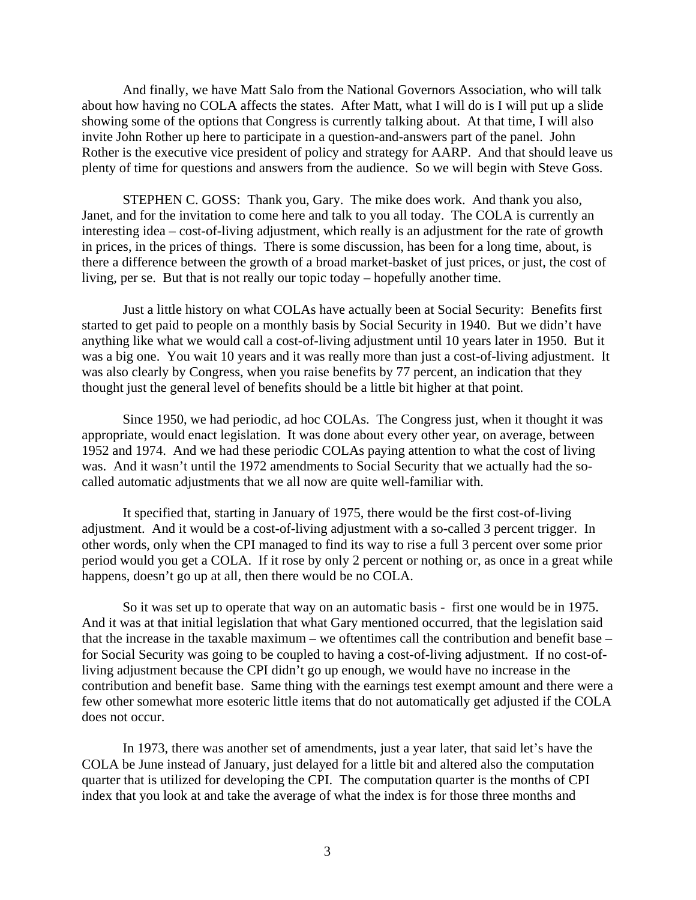And finally, we have Matt Salo from the National Governors Association, who will talk about how having no COLA affects the states. After Matt, what I will do is I will put up a slide showing some of the options that Congress is currently talking about. At that time, I will also invite John Rother up here to participate in a question-and-answers part of the panel. John Rother is the executive vice president of policy and strategy for AARP. And that should leave us plenty of time for questions and answers from the audience. So we will begin with Steve Goss.

STEPHEN C. GOSS: Thank you, Gary. The mike does work. And thank you also, Janet, and for the invitation to come here and talk to you all today. The COLA is currently an interesting idea – cost-of-living adjustment, which really is an adjustment for the rate of growth in prices, in the prices of things. There is some discussion, has been for a long time, about, is there a difference between the growth of a broad market-basket of just prices, or just, the cost of living, per se. But that is not really our topic today – hopefully another time.

Just a little history on what COLAs have actually been at Social Security: Benefits first started to get paid to people on a monthly basis by Social Security in 1940. But we didn't have anything like what we would call a cost-of-living adjustment until 10 years later in 1950. But it was a big one. You wait 10 years and it was really more than just a cost-of-living adjustment. It was also clearly by Congress, when you raise benefits by 77 percent, an indication that they thought just the general level of benefits should be a little bit higher at that point.

Since 1950, we had periodic, ad hoc COLAs. The Congress just, when it thought it was appropriate, would enact legislation. It was done about every other year, on average, between 1952 and 1974. And we had these periodic COLAs paying attention to what the cost of living was. And it wasn't until the 1972 amendments to Social Security that we actually had the socalled automatic adjustments that we all now are quite well-familiar with.

It specified that, starting in January of 1975, there would be the first cost-of-living adjustment. And it would be a cost-of-living adjustment with a so-called 3 percent trigger. In other words, only when the CPI managed to find its way to rise a full 3 percent over some prior period would you get a COLA. If it rose by only 2 percent or nothing or, as once in a great while happens, doesn't go up at all, then there would be no COLA.

So it was set up to operate that way on an automatic basis - first one would be in 1975. And it was at that initial legislation that what Gary mentioned occurred, that the legislation said that the increase in the taxable maximum – we oftentimes call the contribution and benefit base – for Social Security was going to be coupled to having a cost-of-living adjustment. If no cost-ofliving adjustment because the CPI didn't go up enough, we would have no increase in the contribution and benefit base. Same thing with the earnings test exempt amount and there were a few other somewhat more esoteric little items that do not automatically get adjusted if the COLA does not occur.

In 1973, there was another set of amendments, just a year later, that said let's have the COLA be June instead of January, just delayed for a little bit and altered also the computation quarter that is utilized for developing the CPI. The computation quarter is the months of CPI index that you look at and take the average of what the index is for those three months and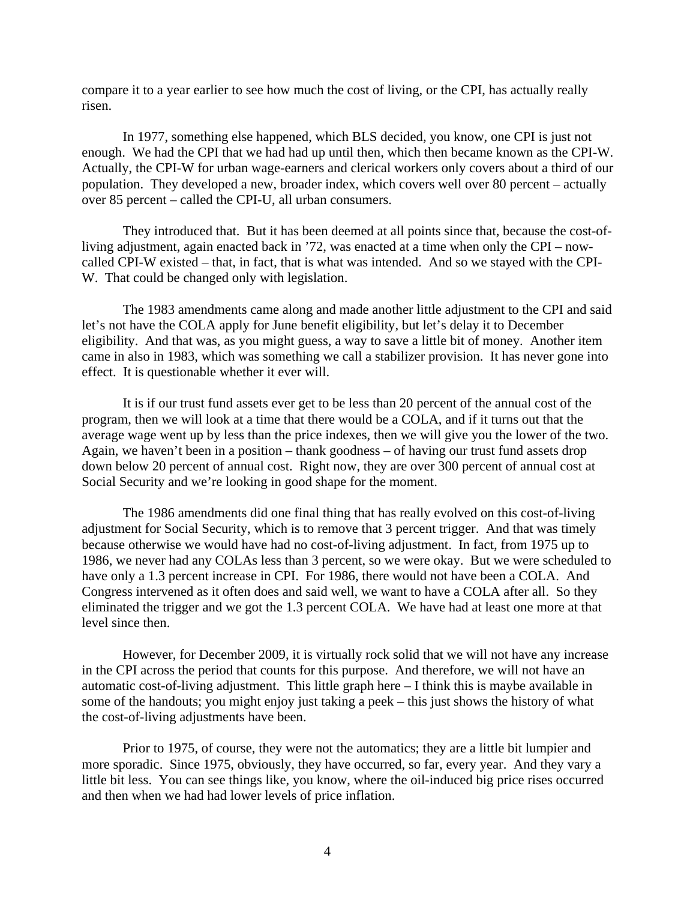compare it to a year earlier to see how much the cost of living, or the CPI, has actually really risen.

In 1977, something else happened, which BLS decided, you know, one CPI is just not enough. We had the CPI that we had had up until then, which then became known as the CPI-W. Actually, the CPI-W for urban wage-earners and clerical workers only covers about a third of our population. They developed a new, broader index, which covers well over 80 percent – actually over 85 percent – called the CPI-U, all urban consumers.

They introduced that. But it has been deemed at all points since that, because the cost-ofliving adjustment, again enacted back in '72, was enacted at a time when only the CPI – nowcalled CPI-W existed – that, in fact, that is what was intended. And so we stayed with the CPI-W. That could be changed only with legislation.

The 1983 amendments came along and made another little adjustment to the CPI and said let's not have the COLA apply for June benefit eligibility, but let's delay it to December eligibility. And that was, as you might guess, a way to save a little bit of money. Another item came in also in 1983, which was something we call a stabilizer provision. It has never gone into effect. It is questionable whether it ever will.

It is if our trust fund assets ever get to be less than 20 percent of the annual cost of the program, then we will look at a time that there would be a COLA, and if it turns out that the average wage went up by less than the price indexes, then we will give you the lower of the two. Again, we haven't been in a position – thank goodness – of having our trust fund assets drop down below 20 percent of annual cost. Right now, they are over 300 percent of annual cost at Social Security and we're looking in good shape for the moment.

The 1986 amendments did one final thing that has really evolved on this cost-of-living adjustment for Social Security, which is to remove that 3 percent trigger. And that was timely because otherwise we would have had no cost-of-living adjustment. In fact, from 1975 up to 1986, we never had any COLAs less than 3 percent, so we were okay. But we were scheduled to have only a 1.3 percent increase in CPI. For 1986, there would not have been a COLA. And Congress intervened as it often does and said well, we want to have a COLA after all. So they eliminated the trigger and we got the 1.3 percent COLA. We have had at least one more at that level since then.

However, for December 2009, it is virtually rock solid that we will not have any increase in the CPI across the period that counts for this purpose. And therefore, we will not have an automatic cost-of-living adjustment. This little graph here – I think this is maybe available in some of the handouts; you might enjoy just taking a peek – this just shows the history of what the cost-of-living adjustments have been.

Prior to 1975, of course, they were not the automatics; they are a little bit lumpier and more sporadic. Since 1975, obviously, they have occurred, so far, every year. And they vary a little bit less. You can see things like, you know, where the oil-induced big price rises occurred and then when we had had lower levels of price inflation.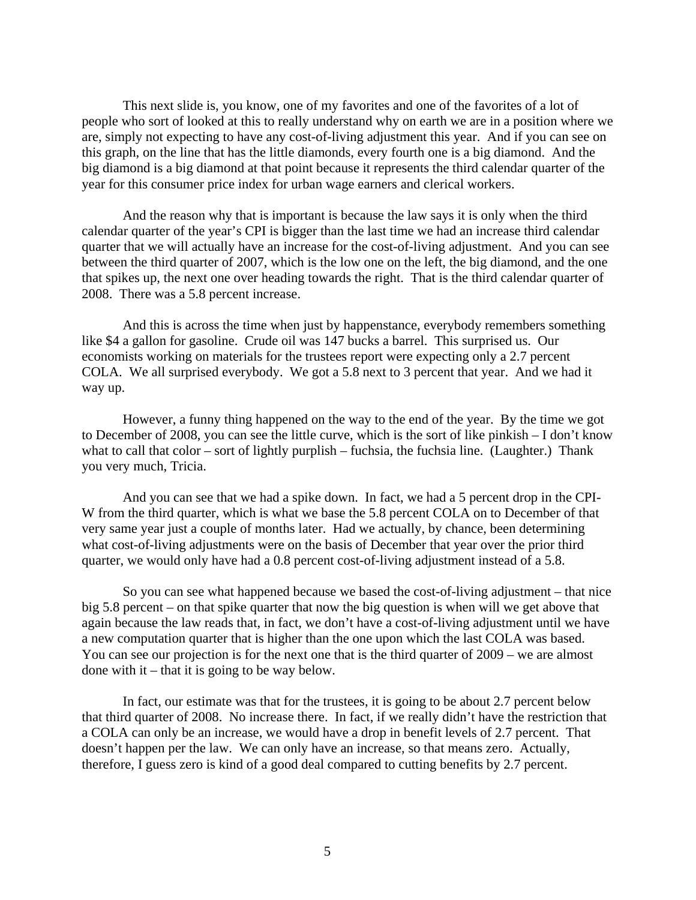This next slide is, you know, one of my favorites and one of the favorites of a lot of people who sort of looked at this to really understand why on earth we are in a position where we are, simply not expecting to have any cost-of-living adjustment this year. And if you can see on this graph, on the line that has the little diamonds, every fourth one is a big diamond. And the big diamond is a big diamond at that point because it represents the third calendar quarter of the year for this consumer price index for urban wage earners and clerical workers.

And the reason why that is important is because the law says it is only when the third calendar quarter of the year's CPI is bigger than the last time we had an increase third calendar quarter that we will actually have an increase for the cost-of-living adjustment. And you can see between the third quarter of 2007, which is the low one on the left, the big diamond, and the one that spikes up, the next one over heading towards the right. That is the third calendar quarter of 2008. There was a 5.8 percent increase.

And this is across the time when just by happenstance, everybody remembers something like \$4 a gallon for gasoline. Crude oil was 147 bucks a barrel. This surprised us. Our economists working on materials for the trustees report were expecting only a 2.7 percent COLA. We all surprised everybody. We got a 5.8 next to 3 percent that year. And we had it way up.

However, a funny thing happened on the way to the end of the year. By the time we got to December of 2008, you can see the little curve, which is the sort of like pinkish – I don't know what to call that color – sort of lightly purplish – fuchsia, the fuchsia line. (Laughter.) Thank you very much, Tricia.

And you can see that we had a spike down. In fact, we had a 5 percent drop in the CPI-W from the third quarter, which is what we base the 5.8 percent COLA on to December of that very same year just a couple of months later. Had we actually, by chance, been determining what cost-of-living adjustments were on the basis of December that year over the prior third quarter, we would only have had a 0.8 percent cost-of-living adjustment instead of a 5.8.

So you can see what happened because we based the cost-of-living adjustment – that nice big 5.8 percent – on that spike quarter that now the big question is when will we get above that again because the law reads that, in fact, we don't have a cost-of-living adjustment until we have a new computation quarter that is higher than the one upon which the last COLA was based. You can see our projection is for the next one that is the third quarter of 2009 – we are almost done with it – that it is going to be way below.

In fact, our estimate was that for the trustees, it is going to be about 2.7 percent below that third quarter of 2008. No increase there. In fact, if we really didn't have the restriction that a COLA can only be an increase, we would have a drop in benefit levels of 2.7 percent. That doesn't happen per the law. We can only have an increase, so that means zero. Actually, therefore, I guess zero is kind of a good deal compared to cutting benefits by 2.7 percent.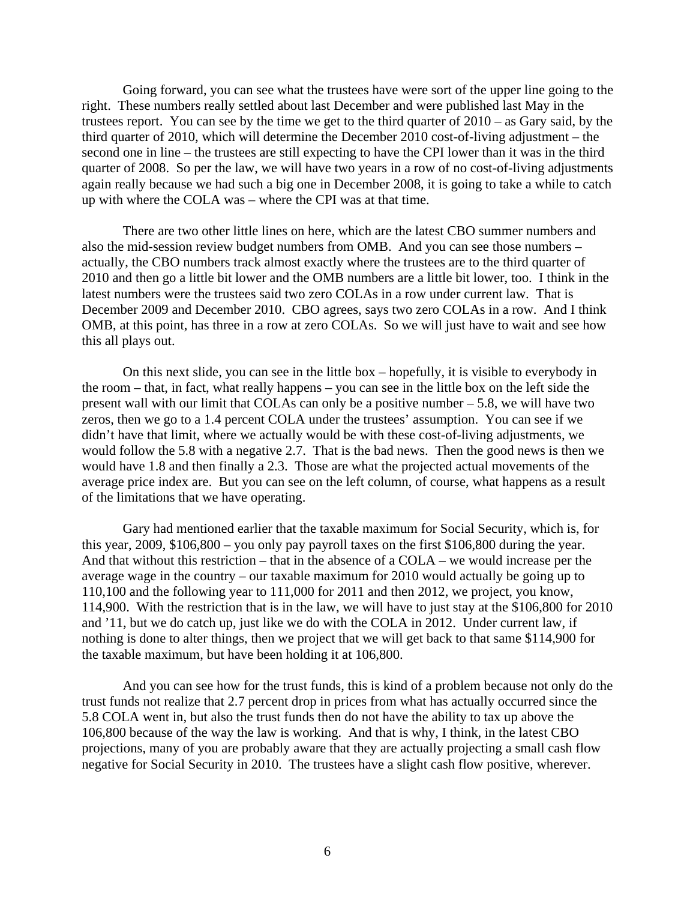Going forward, you can see what the trustees have were sort of the upper line going to the right. These numbers really settled about last December and were published last May in the trustees report. You can see by the time we get to the third quarter of 2010 – as Gary said, by the third quarter of 2010, which will determine the December 2010 cost-of-living adjustment – the second one in line – the trustees are still expecting to have the CPI lower than it was in the third quarter of 2008. So per the law, we will have two years in a row of no cost-of-living adjustments again really because we had such a big one in December 2008, it is going to take a while to catch up with where the COLA was – where the CPI was at that time.

There are two other little lines on here, which are the latest CBO summer numbers and also the mid-session review budget numbers from OMB. And you can see those numbers – actually, the CBO numbers track almost exactly where the trustees are to the third quarter of 2010 and then go a little bit lower and the OMB numbers are a little bit lower, too. I think in the latest numbers were the trustees said two zero COLAs in a row under current law. That is December 2009 and December 2010. CBO agrees, says two zero COLAs in a row. And I think OMB, at this point, has three in a row at zero COLAs. So we will just have to wait and see how this all plays out.

On this next slide, you can see in the little box – hopefully, it is visible to everybody in the room – that, in fact, what really happens – you can see in the little box on the left side the present wall with our limit that COLAs can only be a positive number – 5.8, we will have two zeros, then we go to a 1.4 percent COLA under the trustees' assumption. You can see if we didn't have that limit, where we actually would be with these cost-of-living adjustments, we would follow the 5.8 with a negative 2.7. That is the bad news. Then the good news is then we would have 1.8 and then finally a 2.3. Those are what the projected actual movements of the average price index are. But you can see on the left column, of course, what happens as a result of the limitations that we have operating.

Gary had mentioned earlier that the taxable maximum for Social Security, which is, for this year, 2009, \$106,800 – you only pay payroll taxes on the first \$106,800 during the year. And that without this restriction – that in the absence of a COLA – we would increase per the average wage in the country – our taxable maximum for 2010 would actually be going up to 110,100 and the following year to 111,000 for 2011 and then 2012, we project, you know, 114,900. With the restriction that is in the law, we will have to just stay at the \$106,800 for 2010 and '11, but we do catch up, just like we do with the COLA in 2012. Under current law, if nothing is done to alter things, then we project that we will get back to that same \$114,900 for the taxable maximum, but have been holding it at 106,800.

And you can see how for the trust funds, this is kind of a problem because not only do the trust funds not realize that 2.7 percent drop in prices from what has actually occurred since the 5.8 COLA went in, but also the trust funds then do not have the ability to tax up above the 106,800 because of the way the law is working. And that is why, I think, in the latest CBO projections, many of you are probably aware that they are actually projecting a small cash flow negative for Social Security in 2010. The trustees have a slight cash flow positive, wherever.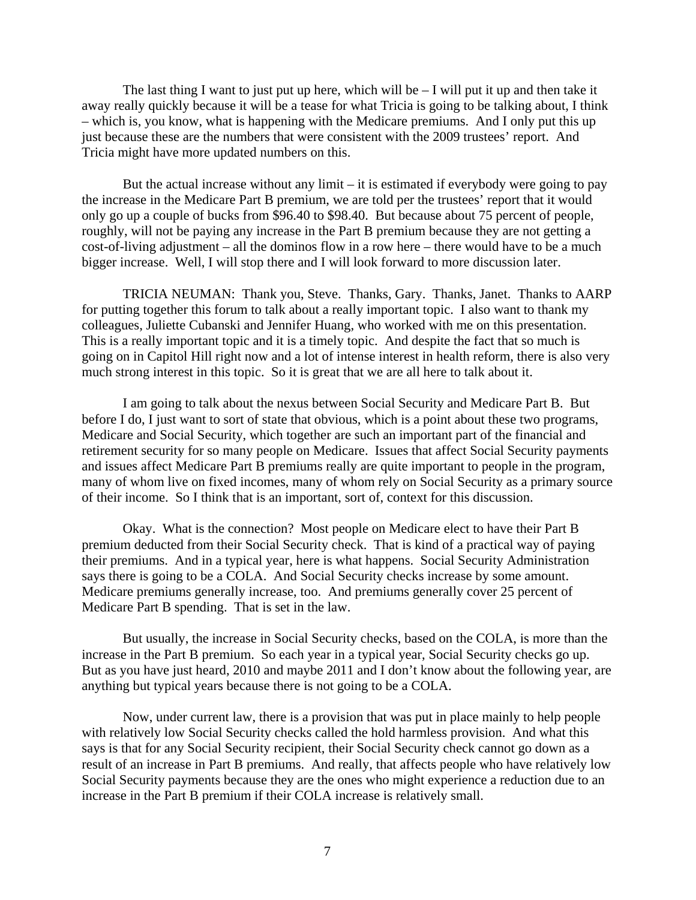The last thing I want to just put up here, which will be  $-$  I will put it up and then take it away really quickly because it will be a tease for what Tricia is going to be talking about, I think – which is, you know, what is happening with the Medicare premiums. And I only put this up just because these are the numbers that were consistent with the 2009 trustees' report. And Tricia might have more updated numbers on this.

But the actual increase without any limit  $-$  it is estimated if everybody were going to pay the increase in the Medicare Part B premium, we are told per the trustees' report that it would only go up a couple of bucks from \$96.40 to \$98.40. But because about 75 percent of people, roughly, will not be paying any increase in the Part B premium because they are not getting a cost-of-living adjustment – all the dominos flow in a row here – there would have to be a much bigger increase. Well, I will stop there and I will look forward to more discussion later.

TRICIA NEUMAN: Thank you, Steve. Thanks, Gary. Thanks, Janet. Thanks to AARP for putting together this forum to talk about a really important topic. I also want to thank my colleagues, Juliette Cubanski and Jennifer Huang, who worked with me on this presentation. This is a really important topic and it is a timely topic. And despite the fact that so much is going on in Capitol Hill right now and a lot of intense interest in health reform, there is also very much strong interest in this topic. So it is great that we are all here to talk about it.

I am going to talk about the nexus between Social Security and Medicare Part B. But before I do, I just want to sort of state that obvious, which is a point about these two programs, Medicare and Social Security, which together are such an important part of the financial and retirement security for so many people on Medicare. Issues that affect Social Security payments and issues affect Medicare Part B premiums really are quite important to people in the program, many of whom live on fixed incomes, many of whom rely on Social Security as a primary source of their income. So I think that is an important, sort of, context for this discussion.

Okay. What is the connection? Most people on Medicare elect to have their Part B premium deducted from their Social Security check. That is kind of a practical way of paying their premiums. And in a typical year, here is what happens. Social Security Administration says there is going to be a COLA. And Social Security checks increase by some amount. Medicare premiums generally increase, too. And premiums generally cover 25 percent of Medicare Part B spending. That is set in the law.

But usually, the increase in Social Security checks, based on the COLA, is more than the increase in the Part B premium. So each year in a typical year, Social Security checks go up. But as you have just heard, 2010 and maybe 2011 and I don't know about the following year, are anything but typical years because there is not going to be a COLA.

Now, under current law, there is a provision that was put in place mainly to help people with relatively low Social Security checks called the hold harmless provision. And what this says is that for any Social Security recipient, their Social Security check cannot go down as a result of an increase in Part B premiums. And really, that affects people who have relatively low Social Security payments because they are the ones who might experience a reduction due to an increase in the Part B premium if their COLA increase is relatively small.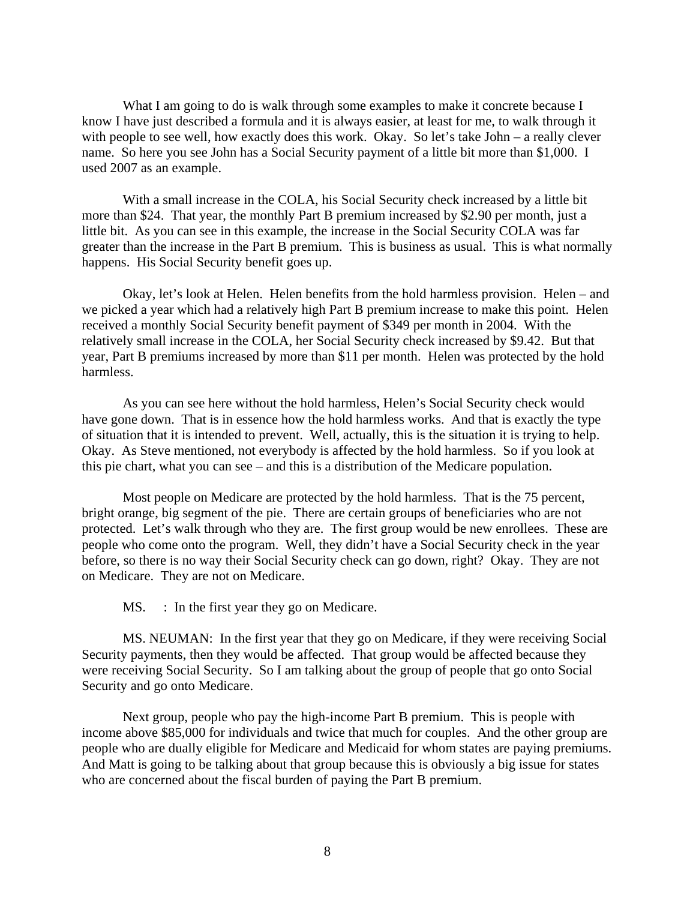What I am going to do is walk through some examples to make it concrete because I know I have just described a formula and it is always easier, at least for me, to walk through it with people to see well, how exactly does this work. Okay. So let's take John – a really clever name. So here you see John has a Social Security payment of a little bit more than \$1,000. I used 2007 as an example.

With a small increase in the COLA, his Social Security check increased by a little bit more than \$24. That year, the monthly Part B premium increased by \$2.90 per month, just a little bit. As you can see in this example, the increase in the Social Security COLA was far greater than the increase in the Part B premium. This is business as usual. This is what normally happens. His Social Security benefit goes up.

Okay, let's look at Helen. Helen benefits from the hold harmless provision. Helen – and we picked a year which had a relatively high Part B premium increase to make this point. Helen received a monthly Social Security benefit payment of \$349 per month in 2004. With the relatively small increase in the COLA, her Social Security check increased by \$9.42. But that year, Part B premiums increased by more than \$11 per month. Helen was protected by the hold harmless.

As you can see here without the hold harmless, Helen's Social Security check would have gone down. That is in essence how the hold harmless works. And that is exactly the type of situation that it is intended to prevent. Well, actually, this is the situation it is trying to help. Okay. As Steve mentioned, not everybody is affected by the hold harmless. So if you look at this pie chart, what you can see – and this is a distribution of the Medicare population.

Most people on Medicare are protected by the hold harmless. That is the 75 percent, bright orange, big segment of the pie. There are certain groups of beneficiaries who are not protected. Let's walk through who they are. The first group would be new enrollees. These are people who come onto the program. Well, they didn't have a Social Security check in the year before, so there is no way their Social Security check can go down, right? Okay. They are not on Medicare. They are not on Medicare.

MS. : In the first year they go on Medicare.

MS. NEUMAN: In the first year that they go on Medicare, if they were receiving Social Security payments, then they would be affected. That group would be affected because they were receiving Social Security. So I am talking about the group of people that go onto Social Security and go onto Medicare.

Next group, people who pay the high-income Part B premium. This is people with income above \$85,000 for individuals and twice that much for couples. And the other group are people who are dually eligible for Medicare and Medicaid for whom states are paying premiums. And Matt is going to be talking about that group because this is obviously a big issue for states who are concerned about the fiscal burden of paying the Part B premium.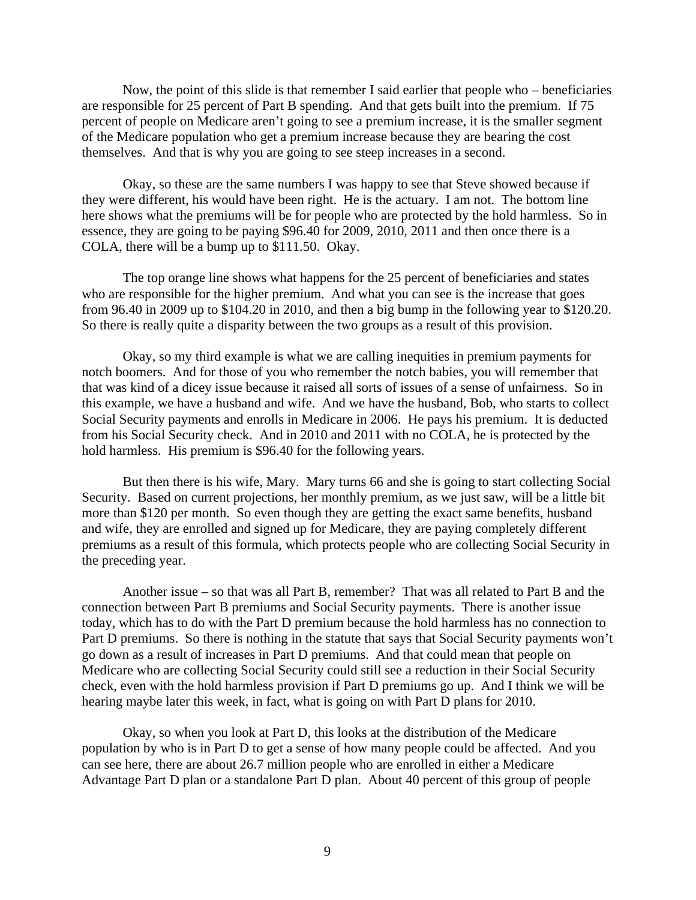Now, the point of this slide is that remember I said earlier that people who – beneficiaries are responsible for 25 percent of Part B spending. And that gets built into the premium. If 75 percent of people on Medicare aren't going to see a premium increase, it is the smaller segment of the Medicare population who get a premium increase because they are bearing the cost themselves. And that is why you are going to see steep increases in a second.

Okay, so these are the same numbers I was happy to see that Steve showed because if they were different, his would have been right. He is the actuary. I am not. The bottom line here shows what the premiums will be for people who are protected by the hold harmless. So in essence, they are going to be paying \$96.40 for 2009, 2010, 2011 and then once there is a COLA, there will be a bump up to \$111.50. Okay.

The top orange line shows what happens for the 25 percent of beneficiaries and states who are responsible for the higher premium. And what you can see is the increase that goes from 96.40 in 2009 up to \$104.20 in 2010, and then a big bump in the following year to \$120.20. So there is really quite a disparity between the two groups as a result of this provision.

Okay, so my third example is what we are calling inequities in premium payments for notch boomers. And for those of you who remember the notch babies, you will remember that that was kind of a dicey issue because it raised all sorts of issues of a sense of unfairness. So in this example, we have a husband and wife. And we have the husband, Bob, who starts to collect Social Security payments and enrolls in Medicare in 2006. He pays his premium. It is deducted from his Social Security check. And in 2010 and 2011 with no COLA, he is protected by the hold harmless. His premium is \$96.40 for the following years.

But then there is his wife, Mary. Mary turns 66 and she is going to start collecting Social Security. Based on current projections, her monthly premium, as we just saw, will be a little bit more than \$120 per month. So even though they are getting the exact same benefits, husband and wife, they are enrolled and signed up for Medicare, they are paying completely different premiums as a result of this formula, which protects people who are collecting Social Security in the preceding year.

Another issue – so that was all Part B, remember? That was all related to Part B and the connection between Part B premiums and Social Security payments. There is another issue today, which has to do with the Part D premium because the hold harmless has no connection to Part D premiums. So there is nothing in the statute that says that Social Security payments won't go down as a result of increases in Part D premiums. And that could mean that people on Medicare who are collecting Social Security could still see a reduction in their Social Security check, even with the hold harmless provision if Part D premiums go up. And I think we will be hearing maybe later this week, in fact, what is going on with Part D plans for 2010.

Okay, so when you look at Part D, this looks at the distribution of the Medicare population by who is in Part D to get a sense of how many people could be affected. And you can see here, there are about 26.7 million people who are enrolled in either a Medicare Advantage Part D plan or a standalone Part D plan. About 40 percent of this group of people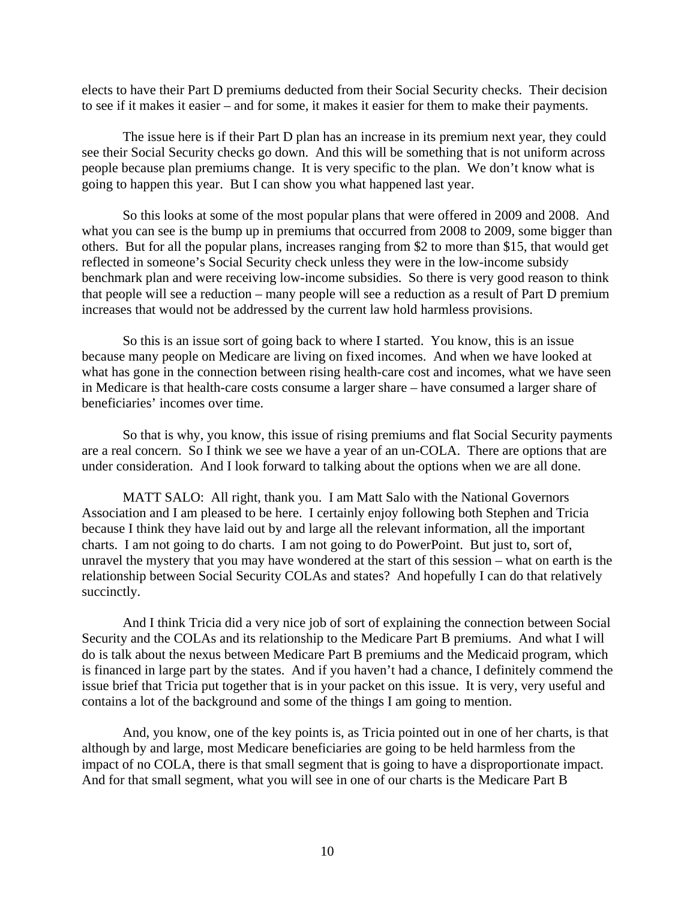elects to have their Part D premiums deducted from their Social Security checks. Their decision to see if it makes it easier – and for some, it makes it easier for them to make their payments.

The issue here is if their Part D plan has an increase in its premium next year, they could see their Social Security checks go down. And this will be something that is not uniform across people because plan premiums change. It is very specific to the plan. We don't know what is going to happen this year. But I can show you what happened last year.

So this looks at some of the most popular plans that were offered in 2009 and 2008. And what you can see is the bump up in premiums that occurred from 2008 to 2009, some bigger than others. But for all the popular plans, increases ranging from \$2 to more than \$15, that would get reflected in someone's Social Security check unless they were in the low-income subsidy benchmark plan and were receiving low-income subsidies. So there is very good reason to think that people will see a reduction – many people will see a reduction as a result of Part D premium increases that would not be addressed by the current law hold harmless provisions.

So this is an issue sort of going back to where I started. You know, this is an issue because many people on Medicare are living on fixed incomes. And when we have looked at what has gone in the connection between rising health-care cost and incomes, what we have seen in Medicare is that health-care costs consume a larger share – have consumed a larger share of beneficiaries' incomes over time.

So that is why, you know, this issue of rising premiums and flat Social Security payments are a real concern. So I think we see we have a year of an un-COLA. There are options that are under consideration. And I look forward to talking about the options when we are all done.

MATT SALO: All right, thank you. I am Matt Salo with the National Governors Association and I am pleased to be here. I certainly enjoy following both Stephen and Tricia because I think they have laid out by and large all the relevant information, all the important charts. I am not going to do charts. I am not going to do PowerPoint. But just to, sort of, unravel the mystery that you may have wondered at the start of this session – what on earth is the relationship between Social Security COLAs and states? And hopefully I can do that relatively succinctly.

And I think Tricia did a very nice job of sort of explaining the connection between Social Security and the COLAs and its relationship to the Medicare Part B premiums. And what I will do is talk about the nexus between Medicare Part B premiums and the Medicaid program, which is financed in large part by the states. And if you haven't had a chance, I definitely commend the issue brief that Tricia put together that is in your packet on this issue. It is very, very useful and contains a lot of the background and some of the things I am going to mention.

And, you know, one of the key points is, as Tricia pointed out in one of her charts, is that although by and large, most Medicare beneficiaries are going to be held harmless from the impact of no COLA, there is that small segment that is going to have a disproportionate impact. And for that small segment, what you will see in one of our charts is the Medicare Part B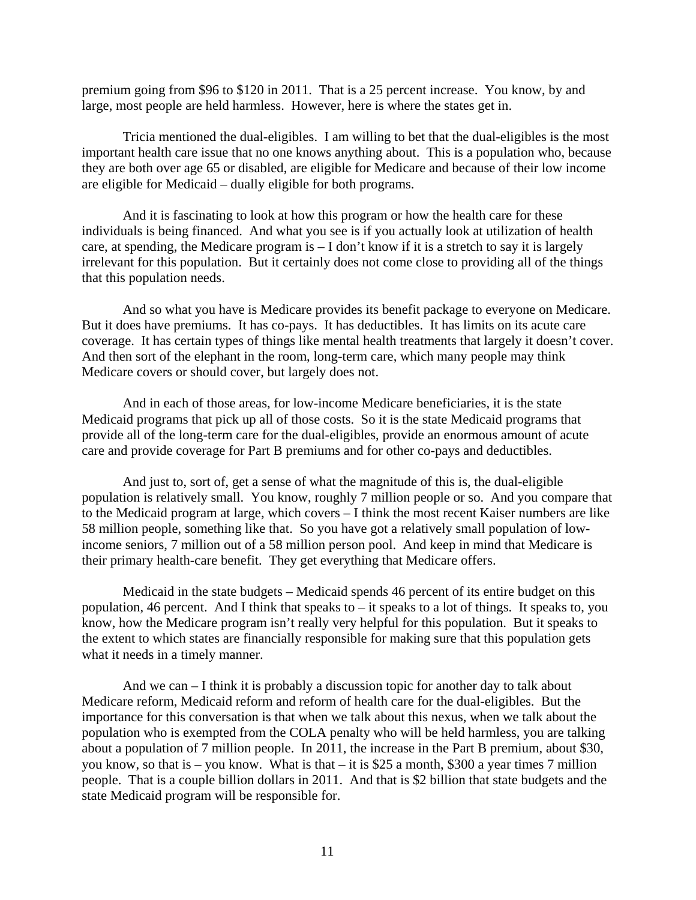premium going from \$96 to \$120 in 2011. That is a 25 percent increase. You know, by and large, most people are held harmless. However, here is where the states get in.

Tricia mentioned the dual-eligibles. I am willing to bet that the dual-eligibles is the most important health care issue that no one knows anything about. This is a population who, because they are both over age 65 or disabled, are eligible for Medicare and because of their low income are eligible for Medicaid – dually eligible for both programs.

And it is fascinating to look at how this program or how the health care for these individuals is being financed. And what you see is if you actually look at utilization of health care, at spending, the Medicare program is – I don't know if it is a stretch to say it is largely irrelevant for this population. But it certainly does not come close to providing all of the things that this population needs.

And so what you have is Medicare provides its benefit package to everyone on Medicare. But it does have premiums. It has co-pays. It has deductibles. It has limits on its acute care coverage. It has certain types of things like mental health treatments that largely it doesn't cover. And then sort of the elephant in the room, long-term care, which many people may think Medicare covers or should cover, but largely does not.

And in each of those areas, for low-income Medicare beneficiaries, it is the state Medicaid programs that pick up all of those costs. So it is the state Medicaid programs that provide all of the long-term care for the dual-eligibles, provide an enormous amount of acute care and provide coverage for Part B premiums and for other co-pays and deductibles.

And just to, sort of, get a sense of what the magnitude of this is, the dual-eligible population is relatively small. You know, roughly 7 million people or so. And you compare that to the Medicaid program at large, which covers – I think the most recent Kaiser numbers are like 58 million people, something like that. So you have got a relatively small population of lowincome seniors, 7 million out of a 58 million person pool. And keep in mind that Medicare is their primary health-care benefit. They get everything that Medicare offers.

Medicaid in the state budgets – Medicaid spends 46 percent of its entire budget on this population, 46 percent. And I think that speaks to – it speaks to a lot of things. It speaks to, you know, how the Medicare program isn't really very helpful for this population. But it speaks to the extent to which states are financially responsible for making sure that this population gets what it needs in a timely manner.

And we can – I think it is probably a discussion topic for another day to talk about Medicare reform, Medicaid reform and reform of health care for the dual-eligibles. But the importance for this conversation is that when we talk about this nexus, when we talk about the population who is exempted from the COLA penalty who will be held harmless, you are talking about a population of 7 million people. In 2011, the increase in the Part B premium, about \$30, you know, so that is – you know. What is that – it is \$25 a month, \$300 a year times 7 million people. That is a couple billion dollars in 2011. And that is \$2 billion that state budgets and the state Medicaid program will be responsible for.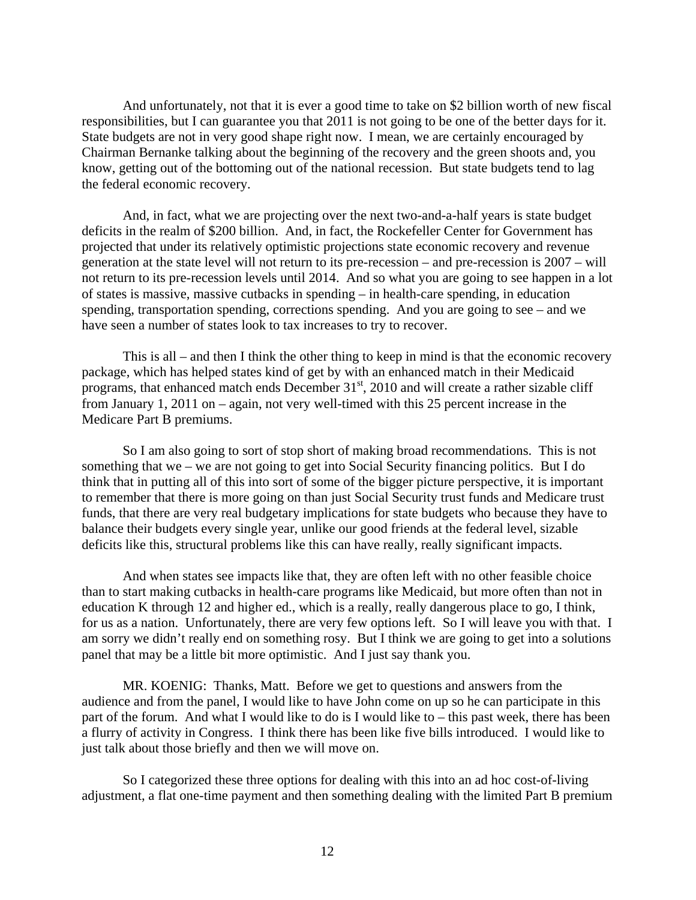And unfortunately, not that it is ever a good time to take on \$2 billion worth of new fiscal responsibilities, but I can guarantee you that 2011 is not going to be one of the better days for it. State budgets are not in very good shape right now. I mean, we are certainly encouraged by Chairman Bernanke talking about the beginning of the recovery and the green shoots and, you know, getting out of the bottoming out of the national recession. But state budgets tend to lag the federal economic recovery.

And, in fact, what we are projecting over the next two-and-a-half years is state budget deficits in the realm of \$200 billion. And, in fact, the Rockefeller Center for Government has projected that under its relatively optimistic projections state economic recovery and revenue generation at the state level will not return to its pre-recession – and pre-recession is 2007 – will not return to its pre-recession levels until 2014. And so what you are going to see happen in a lot of states is massive, massive cutbacks in spending – in health-care spending, in education spending, transportation spending, corrections spending. And you are going to see – and we have seen a number of states look to tax increases to try to recover.

This is all – and then I think the other thing to keep in mind is that the economic recovery package, which has helped states kind of get by with an enhanced match in their Medicaid programs, that enhanced match ends December  $31<sup>st</sup>$ , 2010 and will create a rather sizable cliff from January 1, 2011 on – again, not very well-timed with this 25 percent increase in the Medicare Part B premiums.

So I am also going to sort of stop short of making broad recommendations. This is not something that we – we are not going to get into Social Security financing politics. But I do think that in putting all of this into sort of some of the bigger picture perspective, it is important to remember that there is more going on than just Social Security trust funds and Medicare trust funds, that there are very real budgetary implications for state budgets who because they have to balance their budgets every single year, unlike our good friends at the federal level, sizable deficits like this, structural problems like this can have really, really significant impacts.

And when states see impacts like that, they are often left with no other feasible choice than to start making cutbacks in health-care programs like Medicaid, but more often than not in education K through 12 and higher ed., which is a really, really dangerous place to go, I think, for us as a nation. Unfortunately, there are very few options left. So I will leave you with that. I am sorry we didn't really end on something rosy. But I think we are going to get into a solutions panel that may be a little bit more optimistic. And I just say thank you.

MR. KOENIG: Thanks, Matt. Before we get to questions and answers from the audience and from the panel, I would like to have John come on up so he can participate in this part of the forum. And what I would like to do is I would like to – this past week, there has been a flurry of activity in Congress. I think there has been like five bills introduced. I would like to just talk about those briefly and then we will move on.

So I categorized these three options for dealing with this into an ad hoc cost-of-living adjustment, a flat one-time payment and then something dealing with the limited Part B premium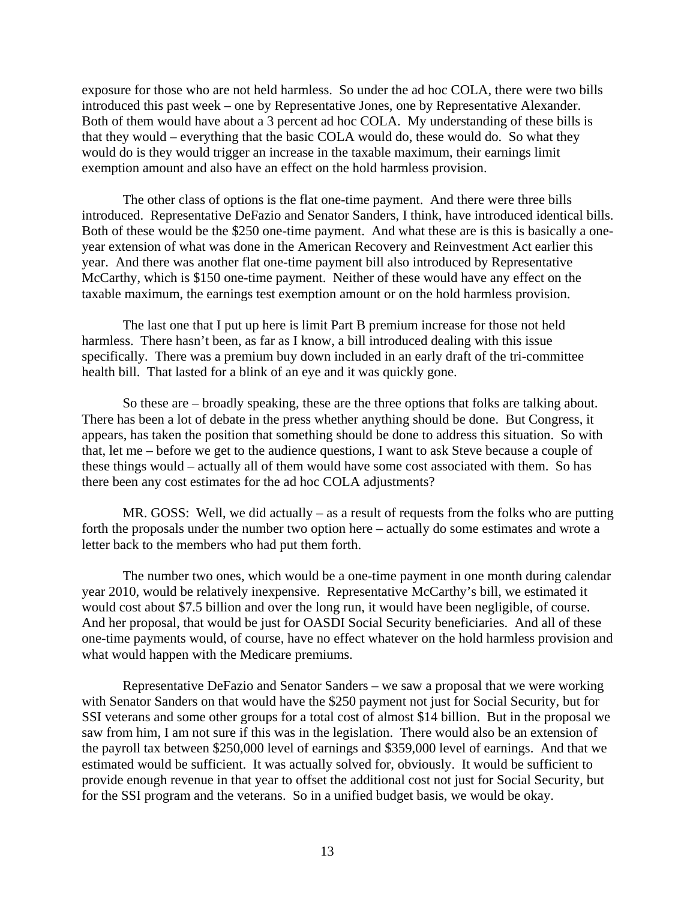exposure for those who are not held harmless. So under the ad hoc COLA, there were two bills introduced this past week – one by Representative Jones, one by Representative Alexander. Both of them would have about a 3 percent ad hoc COLA. My understanding of these bills is that they would – everything that the basic COLA would do, these would do. So what they would do is they would trigger an increase in the taxable maximum, their earnings limit exemption amount and also have an effect on the hold harmless provision.

The other class of options is the flat one-time payment. And there were three bills introduced. Representative DeFazio and Senator Sanders, I think, have introduced identical bills. Both of these would be the \$250 one-time payment. And what these are is this is basically a oneyear extension of what was done in the American Recovery and Reinvestment Act earlier this year. And there was another flat one-time payment bill also introduced by Representative McCarthy, which is \$150 one-time payment. Neither of these would have any effect on the taxable maximum, the earnings test exemption amount or on the hold harmless provision.

The last one that I put up here is limit Part B premium increase for those not held harmless. There hasn't been, as far as I know, a bill introduced dealing with this issue specifically. There was a premium buy down included in an early draft of the tri-committee health bill. That lasted for a blink of an eye and it was quickly gone.

So these are – broadly speaking, these are the three options that folks are talking about. There has been a lot of debate in the press whether anything should be done. But Congress, it appears, has taken the position that something should be done to address this situation. So with that, let me – before we get to the audience questions, I want to ask Steve because a couple of these things would – actually all of them would have some cost associated with them. So has there been any cost estimates for the ad hoc COLA adjustments?

MR. GOSS: Well, we did actually – as a result of requests from the folks who are putting forth the proposals under the number two option here – actually do some estimates and wrote a letter back to the members who had put them forth.

The number two ones, which would be a one-time payment in one month during calendar year 2010, would be relatively inexpensive. Representative McCarthy's bill, we estimated it would cost about \$7.5 billion and over the long run, it would have been negligible, of course. And her proposal, that would be just for OASDI Social Security beneficiaries. And all of these one-time payments would, of course, have no effect whatever on the hold harmless provision and what would happen with the Medicare premiums.

Representative DeFazio and Senator Sanders – we saw a proposal that we were working with Senator Sanders on that would have the \$250 payment not just for Social Security, but for SSI veterans and some other groups for a total cost of almost \$14 billion. But in the proposal we saw from him, I am not sure if this was in the legislation. There would also be an extension of the payroll tax between \$250,000 level of earnings and \$359,000 level of earnings. And that we estimated would be sufficient. It was actually solved for, obviously. It would be sufficient to provide enough revenue in that year to offset the additional cost not just for Social Security, but for the SSI program and the veterans. So in a unified budget basis, we would be okay.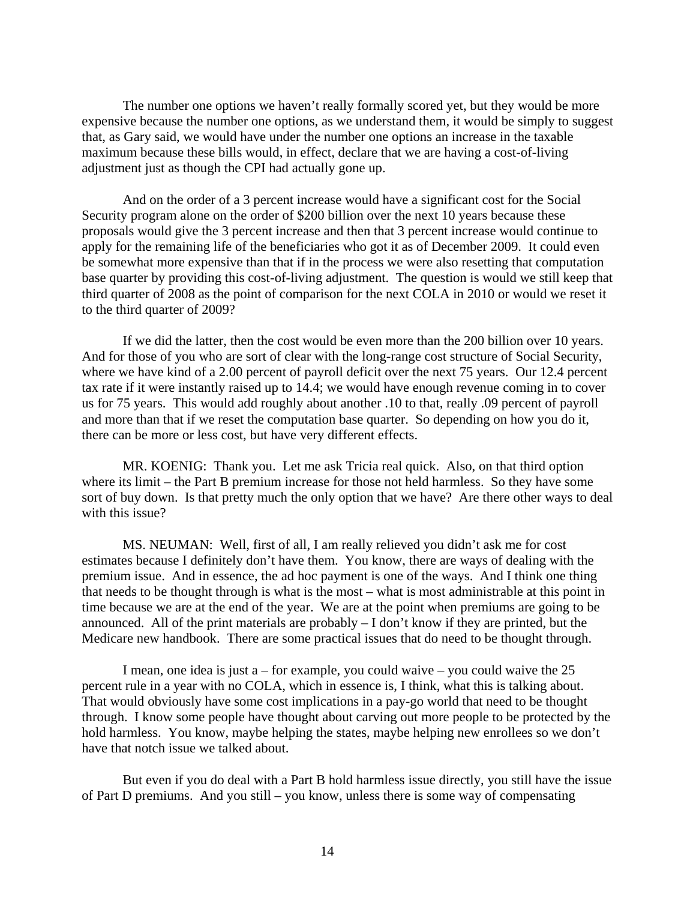The number one options we haven't really formally scored yet, but they would be more expensive because the number one options, as we understand them, it would be simply to suggest that, as Gary said, we would have under the number one options an increase in the taxable maximum because these bills would, in effect, declare that we are having a cost-of-living adjustment just as though the CPI had actually gone up.

And on the order of a 3 percent increase would have a significant cost for the Social Security program alone on the order of \$200 billion over the next 10 years because these proposals would give the 3 percent increase and then that 3 percent increase would continue to apply for the remaining life of the beneficiaries who got it as of December 2009. It could even be somewhat more expensive than that if in the process we were also resetting that computation base quarter by providing this cost-of-living adjustment. The question is would we still keep that third quarter of 2008 as the point of comparison for the next COLA in 2010 or would we reset it to the third quarter of 2009?

If we did the latter, then the cost would be even more than the 200 billion over 10 years. And for those of you who are sort of clear with the long-range cost structure of Social Security, where we have kind of a 2.00 percent of payroll deficit over the next 75 years. Our 12.4 percent tax rate if it were instantly raised up to 14.4; we would have enough revenue coming in to cover us for 75 years. This would add roughly about another .10 to that, really .09 percent of payroll and more than that if we reset the computation base quarter. So depending on how you do it, there can be more or less cost, but have very different effects.

MR. KOENIG: Thank you. Let me ask Tricia real quick. Also, on that third option where its limit – the Part B premium increase for those not held harmless. So they have some sort of buy down. Is that pretty much the only option that we have? Are there other ways to deal with this issue?

MS. NEUMAN: Well, first of all, I am really relieved you didn't ask me for cost estimates because I definitely don't have them. You know, there are ways of dealing with the premium issue. And in essence, the ad hoc payment is one of the ways. And I think one thing that needs to be thought through is what is the most – what is most administrable at this point in time because we are at the end of the year. We are at the point when premiums are going to be announced. All of the print materials are probably – I don't know if they are printed, but the Medicare new handbook. There are some practical issues that do need to be thought through.

I mean, one idea is just  $a$  – for example, you could waive – you could waive the 25 percent rule in a year with no COLA, which in essence is, I think, what this is talking about. That would obviously have some cost implications in a pay-go world that need to be thought through. I know some people have thought about carving out more people to be protected by the hold harmless. You know, maybe helping the states, maybe helping new enrollees so we don't have that notch issue we talked about.

But even if you do deal with a Part B hold harmless issue directly, you still have the issue of Part D premiums. And you still – you know, unless there is some way of compensating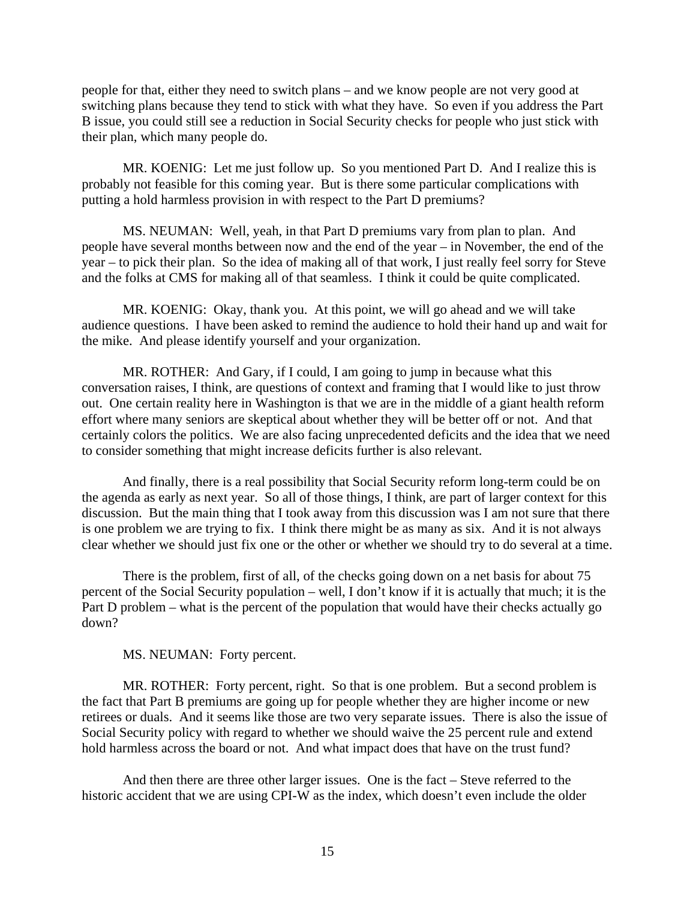people for that, either they need to switch plans – and we know people are not very good at switching plans because they tend to stick with what they have. So even if you address the Part B issue, you could still see a reduction in Social Security checks for people who just stick with their plan, which many people do.

MR. KOENIG: Let me just follow up. So you mentioned Part D. And I realize this is probably not feasible for this coming year. But is there some particular complications with putting a hold harmless provision in with respect to the Part D premiums?

MS. NEUMAN: Well, yeah, in that Part D premiums vary from plan to plan. And people have several months between now and the end of the year – in November, the end of the year – to pick their plan. So the idea of making all of that work, I just really feel sorry for Steve and the folks at CMS for making all of that seamless. I think it could be quite complicated.

MR. KOENIG: Okay, thank you. At this point, we will go ahead and we will take audience questions. I have been asked to remind the audience to hold their hand up and wait for the mike. And please identify yourself and your organization.

MR. ROTHER: And Gary, if I could, I am going to jump in because what this conversation raises, I think, are questions of context and framing that I would like to just throw out. One certain reality here in Washington is that we are in the middle of a giant health reform effort where many seniors are skeptical about whether they will be better off or not. And that certainly colors the politics. We are also facing unprecedented deficits and the idea that we need to consider something that might increase deficits further is also relevant.

And finally, there is a real possibility that Social Security reform long-term could be on the agenda as early as next year. So all of those things, I think, are part of larger context for this discussion. But the main thing that I took away from this discussion was I am not sure that there is one problem we are trying to fix. I think there might be as many as six. And it is not always clear whether we should just fix one or the other or whether we should try to do several at a time.

There is the problem, first of all, of the checks going down on a net basis for about 75 percent of the Social Security population – well, I don't know if it is actually that much; it is the Part D problem – what is the percent of the population that would have their checks actually go down?

MS. NEUMAN: Forty percent.

MR. ROTHER: Forty percent, right. So that is one problem. But a second problem is the fact that Part B premiums are going up for people whether they are higher income or new retirees or duals. And it seems like those are two very separate issues. There is also the issue of Social Security policy with regard to whether we should waive the 25 percent rule and extend hold harmless across the board or not. And what impact does that have on the trust fund?

And then there are three other larger issues. One is the fact – Steve referred to the historic accident that we are using CPI-W as the index, which doesn't even include the older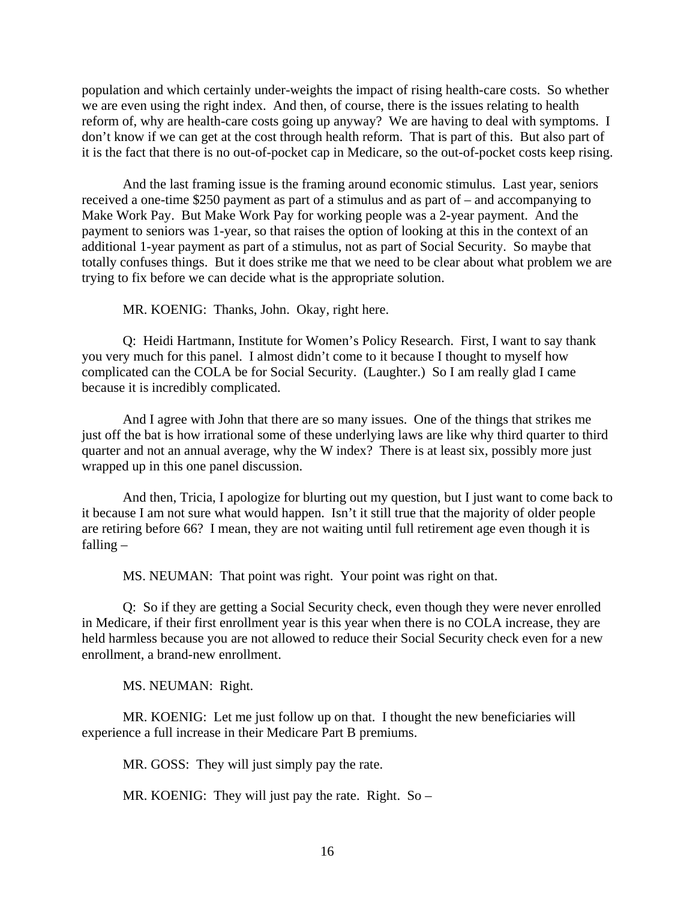population and which certainly under-weights the impact of rising health-care costs. So whether we are even using the right index. And then, of course, there is the issues relating to health reform of, why are health-care costs going up anyway? We are having to deal with symptoms. I don't know if we can get at the cost through health reform. That is part of this. But also part of it is the fact that there is no out-of-pocket cap in Medicare, so the out-of-pocket costs keep rising.

And the last framing issue is the framing around economic stimulus. Last year, seniors received a one-time \$250 payment as part of a stimulus and as part of – and accompanying to Make Work Pay. But Make Work Pay for working people was a 2-year payment. And the payment to seniors was 1-year, so that raises the option of looking at this in the context of an additional 1-year payment as part of a stimulus, not as part of Social Security. So maybe that totally confuses things. But it does strike me that we need to be clear about what problem we are trying to fix before we can decide what is the appropriate solution.

MR. KOENIG: Thanks, John. Okay, right here.

Q: Heidi Hartmann, Institute for Women's Policy Research. First, I want to say thank you very much for this panel. I almost didn't come to it because I thought to myself how complicated can the COLA be for Social Security. (Laughter.) So I am really glad I came because it is incredibly complicated.

And I agree with John that there are so many issues. One of the things that strikes me just off the bat is how irrational some of these underlying laws are like why third quarter to third quarter and not an annual average, why the W index? There is at least six, possibly more just wrapped up in this one panel discussion.

And then, Tricia, I apologize for blurting out my question, but I just want to come back to it because I am not sure what would happen. Isn't it still true that the majority of older people are retiring before 66? I mean, they are not waiting until full retirement age even though it is falling –

MS. NEUMAN: That point was right. Your point was right on that.

Q: So if they are getting a Social Security check, even though they were never enrolled in Medicare, if their first enrollment year is this year when there is no COLA increase, they are held harmless because you are not allowed to reduce their Social Security check even for a new enrollment, a brand-new enrollment.

MS. NEUMAN: Right.

MR. KOENIG: Let me just follow up on that. I thought the new beneficiaries will experience a full increase in their Medicare Part B premiums.

MR. GOSS: They will just simply pay the rate.

MR. KOENIG: They will just pay the rate. Right. So –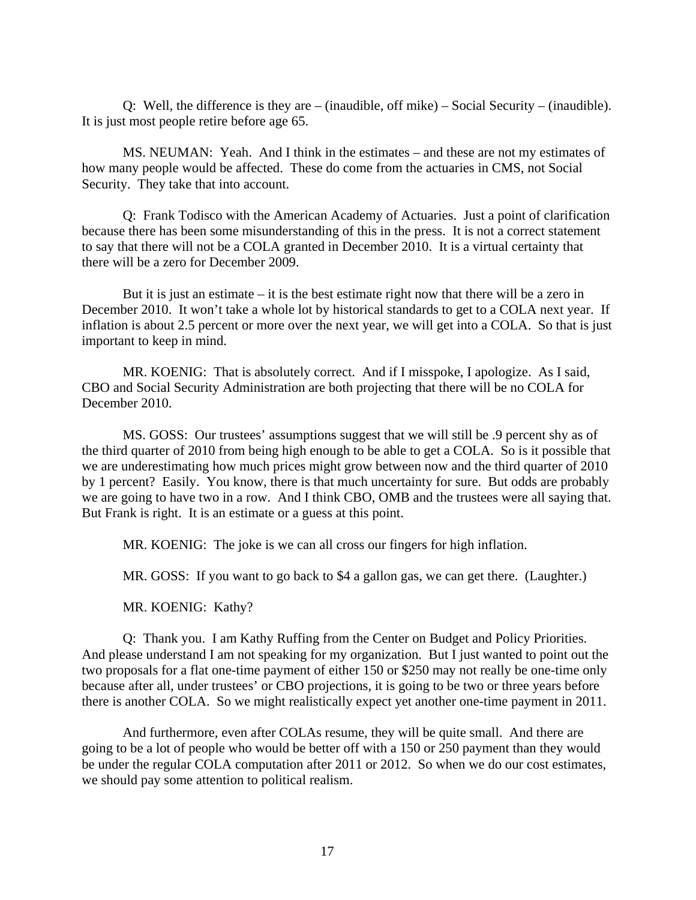Q: Well, the difference is they are – (inaudible, off mike) – Social Security – (inaudible). It is just most people retire before age 65.

MS. NEUMAN: Yeah. And I think in the estimates – and these are not my estimates of how many people would be affected. These do come from the actuaries in CMS, not Social Security. They take that into account.

Q: Frank Todisco with the American Academy of Actuaries. Just a point of clarification because there has been some misunderstanding of this in the press. It is not a correct statement to say that there will not be a COLA granted in December 2010. It is a virtual certainty that there will be a zero for December 2009.

But it is just an estimate – it is the best estimate right now that there will be a zero in December 2010. It won't take a whole lot by historical standards to get to a COLA next year. If inflation is about 2.5 percent or more over the next year, we will get into a COLA. So that is just important to keep in mind.

MR. KOENIG: That is absolutely correct. And if I misspoke, I apologize. As I said, CBO and Social Security Administration are both projecting that there will be no COLA for December 2010.

MS. GOSS: Our trustees' assumptions suggest that we will still be .9 percent shy as of the third quarter of 2010 from being high enough to be able to get a COLA. So is it possible that we are underestimating how much prices might grow between now and the third quarter of 2010 by 1 percent? Easily. You know, there is that much uncertainty for sure. But odds are probably we are going to have two in a row. And I think CBO, OMB and the trustees were all saying that. But Frank is right. It is an estimate or a guess at this point.

MR. KOENIG: The joke is we can all cross our fingers for high inflation.

MR. GOSS: If you want to go back to \$4 a gallon gas, we can get there. (Laughter.)

MR. KOENIG: Kathy?

Q: Thank you. I am Kathy Ruffing from the Center on Budget and Policy Priorities. And please understand I am not speaking for my organization. But I just wanted to point out the two proposals for a flat one-time payment of either 150 or \$250 may not really be one-time only because after all, under trustees' or CBO projections, it is going to be two or three years before there is another COLA. So we might realistically expect yet another one-time payment in 2011.

And furthermore, even after COLAs resume, they will be quite small. And there are going to be a lot of people who would be better off with a 150 or 250 payment than they would be under the regular COLA computation after 2011 or 2012. So when we do our cost estimates, we should pay some attention to political realism.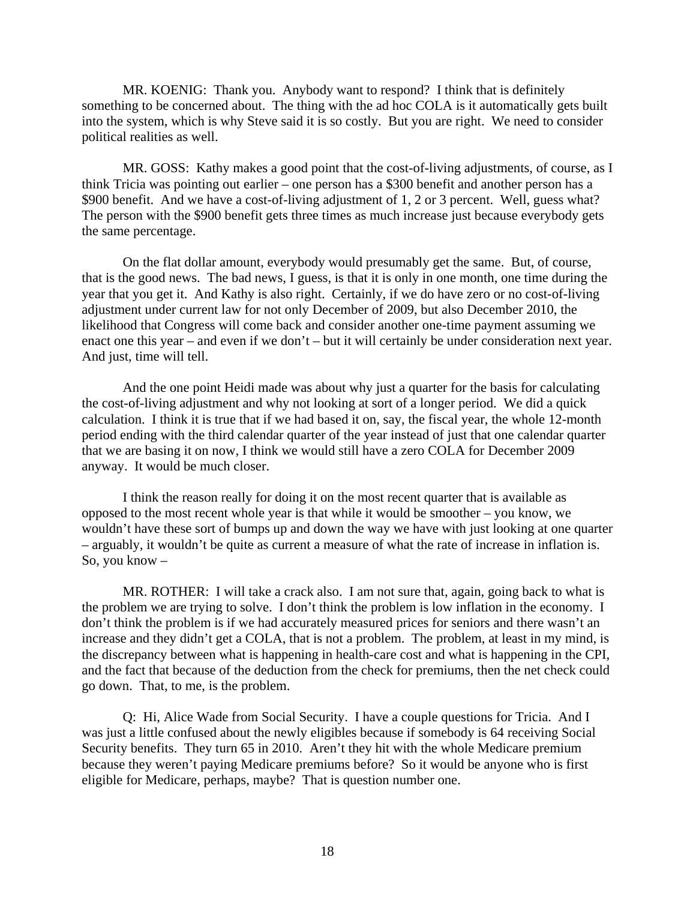MR. KOENIG: Thank you. Anybody want to respond? I think that is definitely something to be concerned about. The thing with the ad hoc COLA is it automatically gets built into the system, which is why Steve said it is so costly. But you are right. We need to consider political realities as well.

MR. GOSS: Kathy makes a good point that the cost-of-living adjustments, of course, as I think Tricia was pointing out earlier – one person has a \$300 benefit and another person has a \$900 benefit. And we have a cost-of-living adjustment of 1, 2 or 3 percent. Well, guess what? The person with the \$900 benefit gets three times as much increase just because everybody gets the same percentage.

On the flat dollar amount, everybody would presumably get the same. But, of course, that is the good news. The bad news, I guess, is that it is only in one month, one time during the year that you get it. And Kathy is also right. Certainly, if we do have zero or no cost-of-living adjustment under current law for not only December of 2009, but also December 2010, the likelihood that Congress will come back and consider another one-time payment assuming we enact one this year – and even if we don't – but it will certainly be under consideration next year. And just, time will tell.

And the one point Heidi made was about why just a quarter for the basis for calculating the cost-of-living adjustment and why not looking at sort of a longer period. We did a quick calculation. I think it is true that if we had based it on, say, the fiscal year, the whole 12-month period ending with the third calendar quarter of the year instead of just that one calendar quarter that we are basing it on now, I think we would still have a zero COLA for December 2009 anyway. It would be much closer.

I think the reason really for doing it on the most recent quarter that is available as opposed to the most recent whole year is that while it would be smoother – you know, we wouldn't have these sort of bumps up and down the way we have with just looking at one quarter – arguably, it wouldn't be quite as current a measure of what the rate of increase in inflation is. So, you know –

MR. ROTHER: I will take a crack also. I am not sure that, again, going back to what is the problem we are trying to solve. I don't think the problem is low inflation in the economy. I don't think the problem is if we had accurately measured prices for seniors and there wasn't an increase and they didn't get a COLA, that is not a problem. The problem, at least in my mind, is the discrepancy between what is happening in health-care cost and what is happening in the CPI, and the fact that because of the deduction from the check for premiums, then the net check could go down. That, to me, is the problem.

Q: Hi, Alice Wade from Social Security. I have a couple questions for Tricia. And I was just a little confused about the newly eligibles because if somebody is 64 receiving Social Security benefits. They turn 65 in 2010. Aren't they hit with the whole Medicare premium because they weren't paying Medicare premiums before? So it would be anyone who is first eligible for Medicare, perhaps, maybe? That is question number one.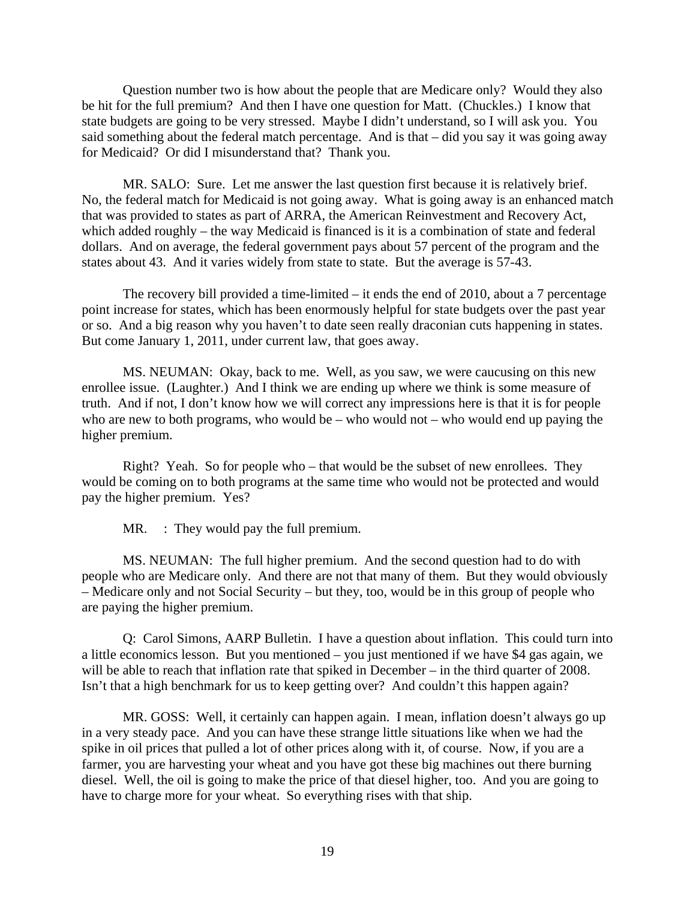Question number two is how about the people that are Medicare only? Would they also be hit for the full premium? And then I have one question for Matt. (Chuckles.) I know that state budgets are going to be very stressed. Maybe I didn't understand, so I will ask you. You said something about the federal match percentage. And is that – did you say it was going away for Medicaid? Or did I misunderstand that? Thank you.

MR. SALO: Sure. Let me answer the last question first because it is relatively brief. No, the federal match for Medicaid is not going away. What is going away is an enhanced match that was provided to states as part of ARRA, the American Reinvestment and Recovery Act, which added roughly – the way Medicaid is financed is it is a combination of state and federal dollars. And on average, the federal government pays about 57 percent of the program and the states about 43. And it varies widely from state to state. But the average is 57-43.

The recovery bill provided a time-limited – it ends the end of 2010, about a 7 percentage point increase for states, which has been enormously helpful for state budgets over the past year or so. And a big reason why you haven't to date seen really draconian cuts happening in states. But come January 1, 2011, under current law, that goes away.

MS. NEUMAN: Okay, back to me. Well, as you saw, we were caucusing on this new enrollee issue. (Laughter.) And I think we are ending up where we think is some measure of truth. And if not, I don't know how we will correct any impressions here is that it is for people who are new to both programs, who would be – who would not – who would end up paying the higher premium.

Right? Yeah. So for people who – that would be the subset of new enrollees. They would be coming on to both programs at the same time who would not be protected and would pay the higher premium. Yes?

MR. : They would pay the full premium.

MS. NEUMAN: The full higher premium. And the second question had to do with people who are Medicare only. And there are not that many of them. But they would obviously – Medicare only and not Social Security – but they, too, would be in this group of people who are paying the higher premium.

Q: Carol Simons, AARP Bulletin. I have a question about inflation. This could turn into a little economics lesson. But you mentioned – you just mentioned if we have \$4 gas again, we will be able to reach that inflation rate that spiked in December – in the third quarter of 2008. Isn't that a high benchmark for us to keep getting over? And couldn't this happen again?

MR. GOSS: Well, it certainly can happen again. I mean, inflation doesn't always go up in a very steady pace. And you can have these strange little situations like when we had the spike in oil prices that pulled a lot of other prices along with it, of course. Now, if you are a farmer, you are harvesting your wheat and you have got these big machines out there burning diesel. Well, the oil is going to make the price of that diesel higher, too. And you are going to have to charge more for your wheat. So everything rises with that ship.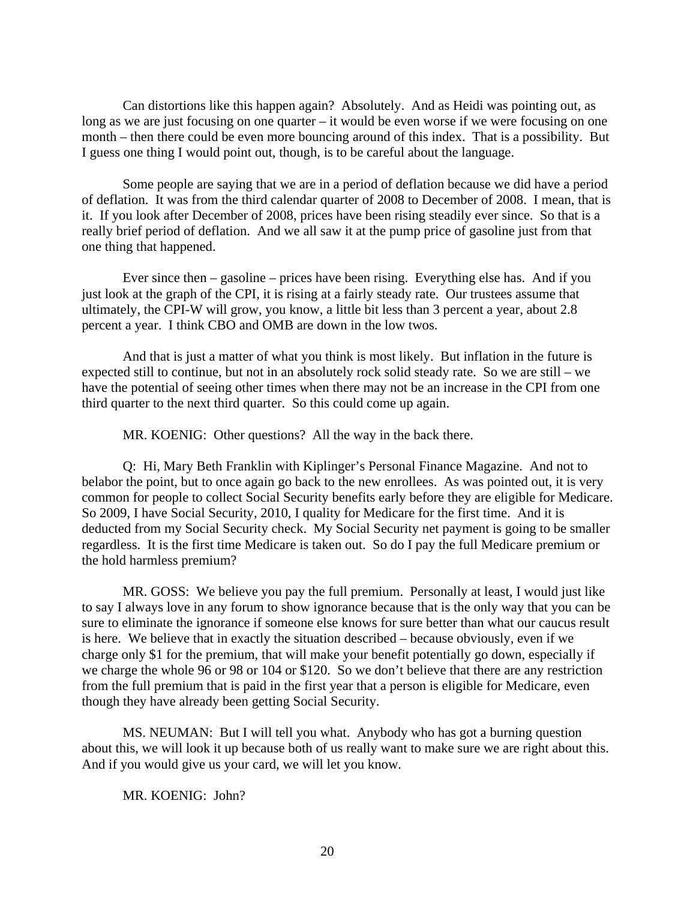Can distortions like this happen again? Absolutely. And as Heidi was pointing out, as long as we are just focusing on one quarter – it would be even worse if we were focusing on one month – then there could be even more bouncing around of this index. That is a possibility. But I guess one thing I would point out, though, is to be careful about the language.

Some people are saying that we are in a period of deflation because we did have a period of deflation. It was from the third calendar quarter of 2008 to December of 2008. I mean, that is it. If you look after December of 2008, prices have been rising steadily ever since. So that is a really brief period of deflation. And we all saw it at the pump price of gasoline just from that one thing that happened.

Ever since then – gasoline – prices have been rising. Everything else has. And if you just look at the graph of the CPI, it is rising at a fairly steady rate. Our trustees assume that ultimately, the CPI-W will grow, you know, a little bit less than 3 percent a year, about 2.8 percent a year. I think CBO and OMB are down in the low twos.

And that is just a matter of what you think is most likely. But inflation in the future is expected still to continue, but not in an absolutely rock solid steady rate. So we are still – we have the potential of seeing other times when there may not be an increase in the CPI from one third quarter to the next third quarter. So this could come up again.

MR. KOENIG: Other questions? All the way in the back there.

Q: Hi, Mary Beth Franklin with Kiplinger's Personal Finance Magazine. And not to belabor the point, but to once again go back to the new enrollees. As was pointed out, it is very common for people to collect Social Security benefits early before they are eligible for Medicare. So 2009, I have Social Security, 2010, I quality for Medicare for the first time. And it is deducted from my Social Security check. My Social Security net payment is going to be smaller regardless. It is the first time Medicare is taken out. So do I pay the full Medicare premium or the hold harmless premium?

MR. GOSS: We believe you pay the full premium. Personally at least, I would just like to say I always love in any forum to show ignorance because that is the only way that you can be sure to eliminate the ignorance if someone else knows for sure better than what our caucus result is here. We believe that in exactly the situation described – because obviously, even if we charge only \$1 for the premium, that will make your benefit potentially go down, especially if we charge the whole 96 or 98 or 104 or \$120. So we don't believe that there are any restriction from the full premium that is paid in the first year that a person is eligible for Medicare, even though they have already been getting Social Security.

MS. NEUMAN: But I will tell you what. Anybody who has got a burning question about this, we will look it up because both of us really want to make sure we are right about this. And if you would give us your card, we will let you know.

MR. KOENIG: John?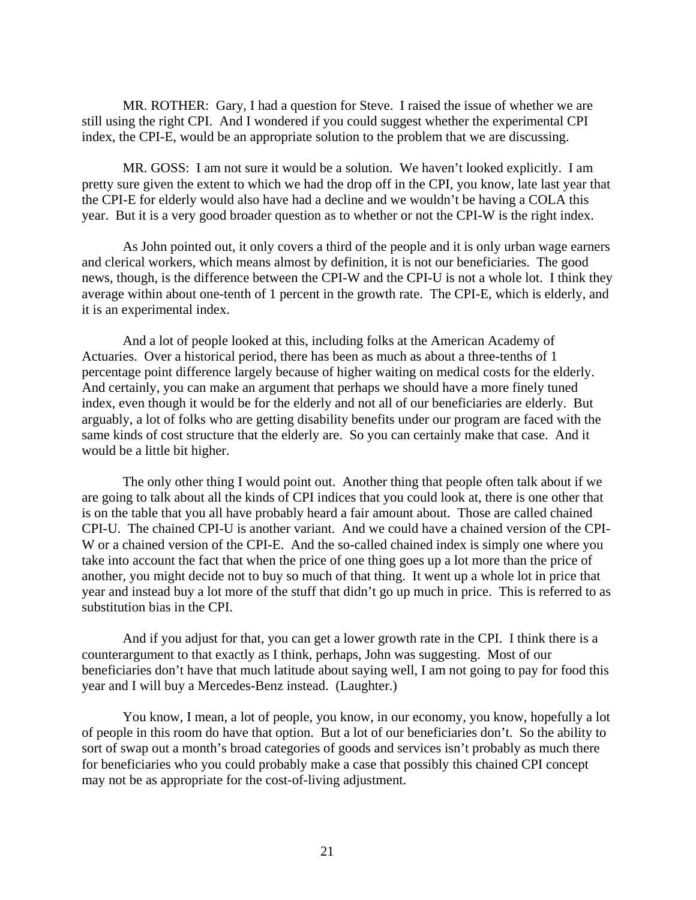MR. ROTHER: Gary, I had a question for Steve. I raised the issue of whether we are still using the right CPI. And I wondered if you could suggest whether the experimental CPI index, the CPI-E, would be an appropriate solution to the problem that we are discussing.

MR. GOSS: I am not sure it would be a solution. We haven't looked explicitly. I am pretty sure given the extent to which we had the drop off in the CPI, you know, late last year that the CPI-E for elderly would also have had a decline and we wouldn't be having a COLA this year. But it is a very good broader question as to whether or not the CPI-W is the right index.

As John pointed out, it only covers a third of the people and it is only urban wage earners and clerical workers, which means almost by definition, it is not our beneficiaries. The good news, though, is the difference between the CPI-W and the CPI-U is not a whole lot. I think they average within about one-tenth of 1 percent in the growth rate. The CPI-E, which is elderly, and it is an experimental index.

And a lot of people looked at this, including folks at the American Academy of Actuaries. Over a historical period, there has been as much as about a three-tenths of 1 percentage point difference largely because of higher waiting on medical costs for the elderly. And certainly, you can make an argument that perhaps we should have a more finely tuned index, even though it would be for the elderly and not all of our beneficiaries are elderly. But arguably, a lot of folks who are getting disability benefits under our program are faced with the same kinds of cost structure that the elderly are. So you can certainly make that case. And it would be a little bit higher.

The only other thing I would point out. Another thing that people often talk about if we are going to talk about all the kinds of CPI indices that you could look at, there is one other that is on the table that you all have probably heard a fair amount about. Those are called chained CPI-U. The chained CPI-U is another variant. And we could have a chained version of the CPI-W or a chained version of the CPI-E. And the so-called chained index is simply one where you take into account the fact that when the price of one thing goes up a lot more than the price of another, you might decide not to buy so much of that thing. It went up a whole lot in price that year and instead buy a lot more of the stuff that didn't go up much in price. This is referred to as substitution bias in the CPI.

And if you adjust for that, you can get a lower growth rate in the CPI. I think there is a counterargument to that exactly as I think, perhaps, John was suggesting. Most of our beneficiaries don't have that much latitude about saying well, I am not going to pay for food this year and I will buy a Mercedes-Benz instead. (Laughter.)

You know, I mean, a lot of people, you know, in our economy, you know, hopefully a lot of people in this room do have that option. But a lot of our beneficiaries don't. So the ability to sort of swap out a month's broad categories of goods and services isn't probably as much there for beneficiaries who you could probably make a case that possibly this chained CPI concept may not be as appropriate for the cost-of-living adjustment.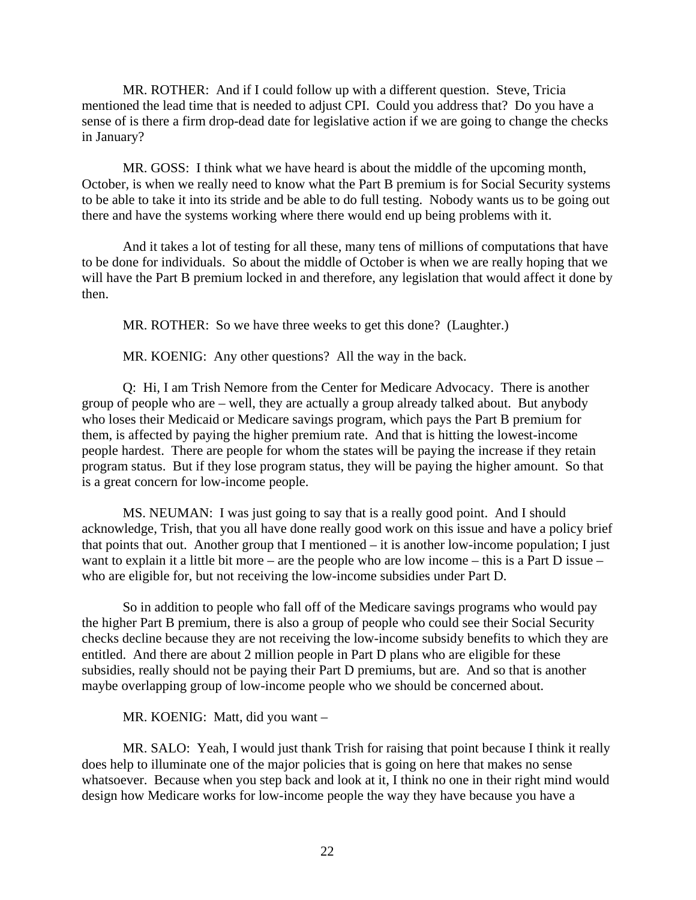MR. ROTHER: And if I could follow up with a different question. Steve, Tricia mentioned the lead time that is needed to adjust CPI. Could you address that? Do you have a sense of is there a firm drop-dead date for legislative action if we are going to change the checks in January?

MR. GOSS: I think what we have heard is about the middle of the upcoming month, October, is when we really need to know what the Part B premium is for Social Security systems to be able to take it into its stride and be able to do full testing. Nobody wants us to be going out there and have the systems working where there would end up being problems with it.

And it takes a lot of testing for all these, many tens of millions of computations that have to be done for individuals. So about the middle of October is when we are really hoping that we will have the Part B premium locked in and therefore, any legislation that would affect it done by then.

MR. ROTHER: So we have three weeks to get this done? (Laughter.)

MR. KOENIG: Any other questions? All the way in the back.

Q: Hi, I am Trish Nemore from the Center for Medicare Advocacy. There is another group of people who are – well, they are actually a group already talked about. But anybody who loses their Medicaid or Medicare savings program, which pays the Part B premium for them, is affected by paying the higher premium rate. And that is hitting the lowest-income people hardest. There are people for whom the states will be paying the increase if they retain program status. But if they lose program status, they will be paying the higher amount. So that is a great concern for low-income people.

MS. NEUMAN: I was just going to say that is a really good point. And I should acknowledge, Trish, that you all have done really good work on this issue and have a policy brief that points that out. Another group that I mentioned – it is another low-income population; I just want to explain it a little bit more – are the people who are low income – this is a Part D issue – who are eligible for, but not receiving the low-income subsidies under Part D.

So in addition to people who fall off of the Medicare savings programs who would pay the higher Part B premium, there is also a group of people who could see their Social Security checks decline because they are not receiving the low-income subsidy benefits to which they are entitled. And there are about 2 million people in Part D plans who are eligible for these subsidies, really should not be paying their Part D premiums, but are. And so that is another maybe overlapping group of low-income people who we should be concerned about.

MR. KOENIG: Matt, did you want –

MR. SALO: Yeah, I would just thank Trish for raising that point because I think it really does help to illuminate one of the major policies that is going on here that makes no sense whatsoever. Because when you step back and look at it, I think no one in their right mind would design how Medicare works for low-income people the way they have because you have a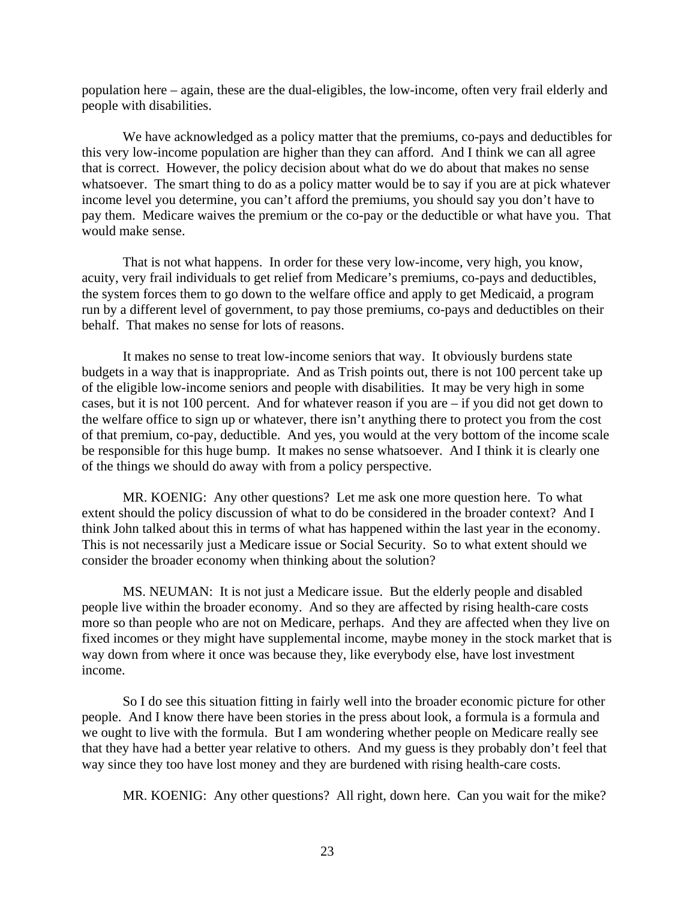population here – again, these are the dual-eligibles, the low-income, often very frail elderly and people with disabilities.

We have acknowledged as a policy matter that the premiums, co-pays and deductibles for this very low-income population are higher than they can afford. And I think we can all agree that is correct. However, the policy decision about what do we do about that makes no sense whatsoever. The smart thing to do as a policy matter would be to say if you are at pick whatever income level you determine, you can't afford the premiums, you should say you don't have to pay them. Medicare waives the premium or the co-pay or the deductible or what have you. That would make sense.

That is not what happens. In order for these very low-income, very high, you know, acuity, very frail individuals to get relief from Medicare's premiums, co-pays and deductibles, the system forces them to go down to the welfare office and apply to get Medicaid, a program run by a different level of government, to pay those premiums, co-pays and deductibles on their behalf. That makes no sense for lots of reasons.

It makes no sense to treat low-income seniors that way. It obviously burdens state budgets in a way that is inappropriate. And as Trish points out, there is not 100 percent take up of the eligible low-income seniors and people with disabilities. It may be very high in some cases, but it is not 100 percent. And for whatever reason if you are – if you did not get down to the welfare office to sign up or whatever, there isn't anything there to protect you from the cost of that premium, co-pay, deductible. And yes, you would at the very bottom of the income scale be responsible for this huge bump. It makes no sense whatsoever. And I think it is clearly one of the things we should do away with from a policy perspective.

MR. KOENIG: Any other questions? Let me ask one more question here. To what extent should the policy discussion of what to do be considered in the broader context? And I think John talked about this in terms of what has happened within the last year in the economy. This is not necessarily just a Medicare issue or Social Security. So to what extent should we consider the broader economy when thinking about the solution?

MS. NEUMAN: It is not just a Medicare issue. But the elderly people and disabled people live within the broader economy. And so they are affected by rising health-care costs more so than people who are not on Medicare, perhaps. And they are affected when they live on fixed incomes or they might have supplemental income, maybe money in the stock market that is way down from where it once was because they, like everybody else, have lost investment income.

So I do see this situation fitting in fairly well into the broader economic picture for other people. And I know there have been stories in the press about look, a formula is a formula and we ought to live with the formula. But I am wondering whether people on Medicare really see that they have had a better year relative to others. And my guess is they probably don't feel that way since they too have lost money and they are burdened with rising health-care costs.

MR. KOENIG: Any other questions? All right, down here. Can you wait for the mike?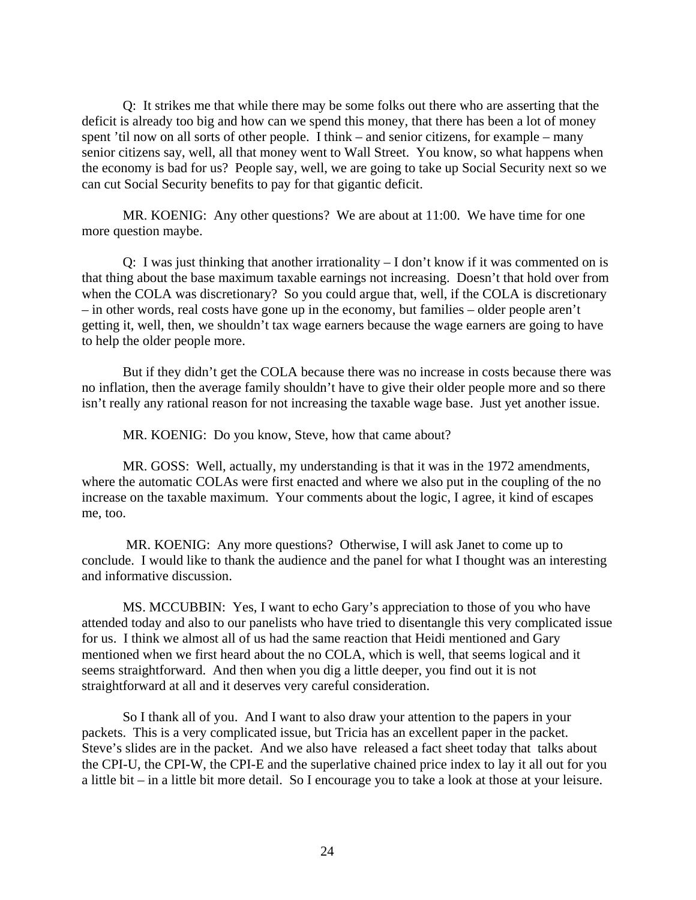Q: It strikes me that while there may be some folks out there who are asserting that the deficit is already too big and how can we spend this money, that there has been a lot of money spent 'til now on all sorts of other people. I think – and senior citizens, for example – many senior citizens say, well, all that money went to Wall Street. You know, so what happens when the economy is bad for us? People say, well, we are going to take up Social Security next so we can cut Social Security benefits to pay for that gigantic deficit.

MR. KOENIG: Any other questions? We are about at 11:00. We have time for one more question maybe.

Q: I was just thinking that another irrationality – I don't know if it was commented on is that thing about the base maximum taxable earnings not increasing. Doesn't that hold over from when the COLA was discretionary? So you could argue that, well, if the COLA is discretionary – in other words, real costs have gone up in the economy, but families – older people aren't getting it, well, then, we shouldn't tax wage earners because the wage earners are going to have to help the older people more.

But if they didn't get the COLA because there was no increase in costs because there was no inflation, then the average family shouldn't have to give their older people more and so there isn't really any rational reason for not increasing the taxable wage base. Just yet another issue.

MR. KOENIG: Do you know, Steve, how that came about?

MR. GOSS: Well, actually, my understanding is that it was in the 1972 amendments, where the automatic COLAs were first enacted and where we also put in the coupling of the no increase on the taxable maximum. Your comments about the logic, I agree, it kind of escapes me, too.

 MR. KOENIG: Any more questions? Otherwise, I will ask Janet to come up to conclude. I would like to thank the audience and the panel for what I thought was an interesting and informative discussion.

MS. MCCUBBIN: Yes, I want to echo Gary's appreciation to those of you who have attended today and also to our panelists who have tried to disentangle this very complicated issue for us. I think we almost all of us had the same reaction that Heidi mentioned and Gary mentioned when we first heard about the no COLA, which is well, that seems logical and it seems straightforward. And then when you dig a little deeper, you find out it is not straightforward at all and it deserves very careful consideration.

So I thank all of you. And I want to also draw your attention to the papers in your packets. This is a very complicated issue, but Tricia has an excellent paper in the packet. Steve's slides are in the packet. And we also have released a fact sheet today that talks about the CPI-U, the CPI-W, the CPI-E and the superlative chained price index to lay it all out for you a little bit – in a little bit more detail. So I encourage you to take a look at those at your leisure.